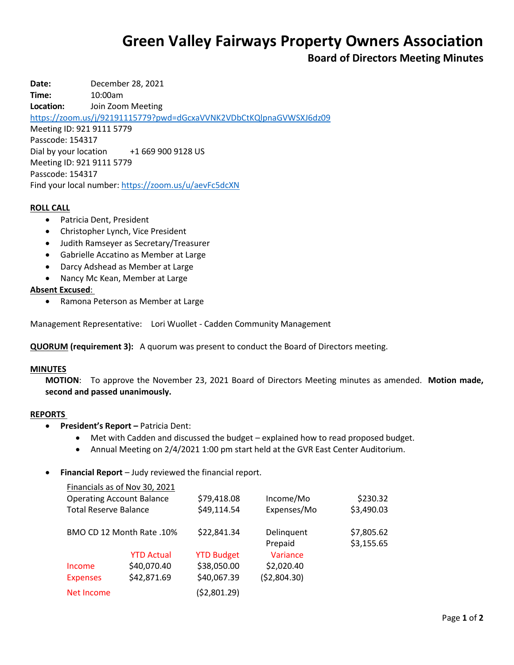# **Green Valley Fairways Property Owners Association**

# **Board of Directors Meeting Minutes**

**Date:** December 28, 2021 **Time:** 10:00am **Location:** Join Zoom Meeting <https://zoom.us/j/92191115779?pwd=dGcxaVVNK2VDbCtKQlpnaGVWSXJ6dz09> Meeting ID: 921 9111 5779 Passcode: 154317 Dial by your location +1 669 900 9128 US Meeting ID: 921 9111 5779 Passcode: 154317 Find your local number[: https://zoom.us/u/aevFc5dcXN](https://zoom.us/u/aevFc5dcXN)

#### **ROLL CALL**

- Patricia Dent, President
- Christopher Lynch, Vice President
- Judith Ramseyer as Secretary/Treasurer
- Gabrielle Accatino as Member at Large
- Darcy Adshead as Member at Large
- Nancy Mc Kean, Member at Large

#### **Absent Excused**:

Ramona Peterson as Member at Large

Management Representative: Lori Wuollet - Cadden Community Management

**QUORUM (requirement 3):** A quorum was present to conduct the Board of Directors meeting.

#### **MINUTES**

**MOTION**: To approve the November 23, 2021 Board of Directors Meeting minutes as amended. **Motion made, second and passed unanimously.**

#### **REPORTS**

- **President's Report –** Patricia Dent:
	- Met with Cadden and discussed the budget explained how to read proposed budget.
	- Annual Meeting on 2/4/2021 1:00 pm start held at the GVR East Center Auditorium.
- **Financial Report** Judy reviewed the financial report.

|                                  | Financials as of Nov 30, 2021 |                   |                       |                          |
|----------------------------------|-------------------------------|-------------------|-----------------------|--------------------------|
| <b>Operating Account Balance</b> |                               | \$79,418.08       | Income/Mo             | \$230.32                 |
| <b>Total Reserve Balance</b>     |                               | \$49,114.54       | Expenses/Mo           | \$3,490.03               |
| BMO CD 12 Month Rate .10%        |                               | \$22,841.34       | Delinquent<br>Prepaid | \$7,805.62<br>\$3,155.65 |
|                                  | <b>YTD Actual</b>             | <b>YTD Budget</b> | Variance              |                          |
| Income                           | \$40,070.40                   | \$38,050.00       | \$2,020.40            |                          |
| <b>Expenses</b>                  | \$42,871.69                   | \$40,067.39       | (52,804.30)           |                          |
| Net Income                       |                               | (\$2,801.29)      |                       |                          |